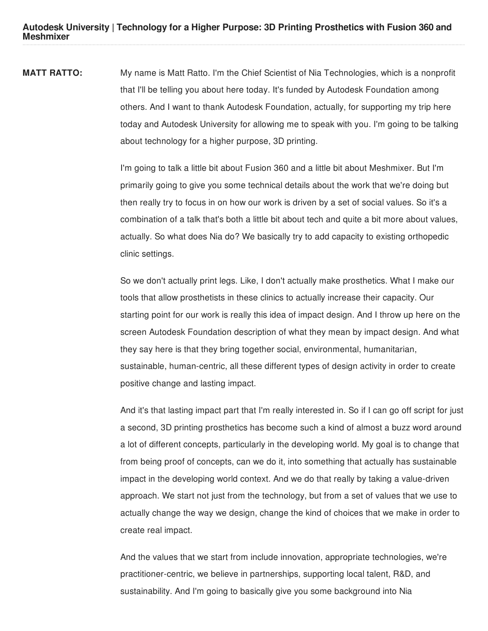**Autodesk University | Technology for a Higher Purpose: 3D Printing Prosthetics with Fusion 360 and Meshmixer**

**MATT RATTO:** My name is Matt Ratto. I'm the Chief Scientist of Nia Technologies, which is a nonprofit that I'll be telling you about here today. It's funded by Autodesk Foundation among others. And I want to thank Autodesk Foundation, actually, for supporting my trip here today and Autodesk University for allowing me to speak with you. I'm going to be talking about technology for a higher purpose, 3D printing.

> I'm going to talk a little bit about Fusion 360 and a little bit about Meshmixer. But I'm primarily going to give you some technical details about the work that we're doing but then really try to focus in on how our work is driven by a set of social values. So it's a combination of a talk that's both a little bit about tech and quite a bit more about values, actually. So what does Nia do? We basically try to add capacity to existing orthopedic clinic settings.

> So we don't actually print legs. Like, I don't actually make prosthetics. What I make our tools that allow prosthetists in these clinics to actually increase their capacity. Our starting point for our work is really this idea of impact design. And I throw up here on the screen Autodesk Foundation description of what they mean by impact design. And what they say here is that they bring together social, environmental, humanitarian, sustainable, human-centric, all these different types of design activity in order to create positive change and lasting impact.

And it's that lasting impact part that I'm really interested in. So if I can go off script for just a second, 3D printing prosthetics has become such a kind of almost a buzz word around a lot of different concepts, particularly in the developing world. My goal is to change that from being proof of concepts, can we do it, into something that actually has sustainable impact in the developing world context. And we do that really by taking a value-driven approach. We start not just from the technology, but from a set of values that we use to actually change the way we design, change the kind of choices that we make in order to create real impact.

And the values that we start from include innovation, appropriate technologies, we're practitioner-centric, we believe in partnerships, supporting local talent, R&D, and sustainability. And I'm going to basically give you some background into Nia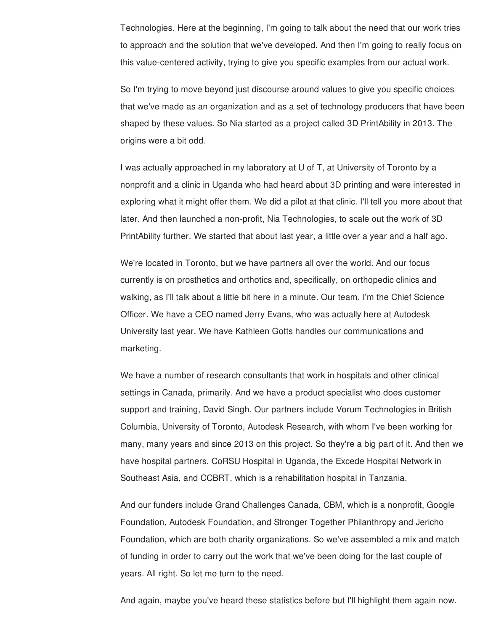Technologies. Here at the beginning, I'm going to talk about the need that our work tries to approach and the solution that we've developed. And then I'm going to really focus on this value-centered activity, trying to give you specific examples from our actual work.

So I'm trying to move beyond just discourse around values to give you specific choices that we've made as an organization and as a set of technology producers that have been shaped by these values. So Nia started as a project called 3D PrintAbility in 2013. The origins were a bit odd.

I was actually approached in my laboratory at U of T, at University of Toronto by a nonprofit and a clinic in Uganda who had heard about 3D printing and were interested in exploring what it might offer them. We did a pilot at that clinic. I'll tell you more about that later. And then launched a non-profit, Nia Technologies, to scale out the work of 3D PrintAbility further. We started that about last year, a little over a year and a half ago.

We're located in Toronto, but we have partners all over the world. And our focus currently is on prosthetics and orthotics and, specifically, on orthopedic clinics and walking, as I'll talk about a little bit here in a minute. Our team, I'm the Chief Science Officer. We have a CEO named Jerry Evans, who was actually here at Autodesk University last year. We have Kathleen Gotts handles our communications and marketing.

We have a number of research consultants that work in hospitals and other clinical settings in Canada, primarily. And we have a product specialist who does customer support and training, David Singh. Our partners include Vorum Technologies in British Columbia, University of Toronto, Autodesk Research, with whom I've been working for many, many years and since 2013 on this project. So they're a big part of it. And then we have hospital partners, CoRSU Hospital in Uganda, the Excede Hospital Network in Southeast Asia, and CCBRT, which is a rehabilitation hospital in Tanzania.

And our funders include Grand Challenges Canada, CBM, which is a nonprofit, Google Foundation, Autodesk Foundation, and Stronger Together Philanthropy and Jericho Foundation, which are both charity organizations. So we've assembled a mix and match of funding in order to carry out the work that we've been doing for the last couple of years. All right. So let me turn to the need.

And again, maybe you've heard these statistics before but I'll highlight them again now.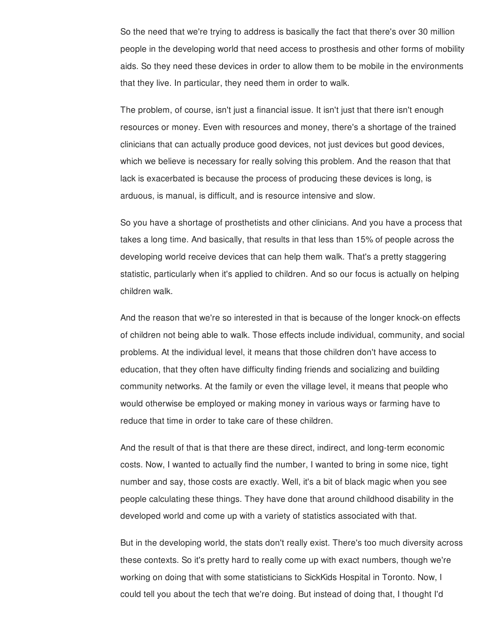So the need that we're trying to address is basically the fact that there's over 30 million people in the developing world that need access to prosthesis and other forms of mobility aids. So they need these devices in order to allow them to be mobile in the environments that they live. In particular, they need them in order to walk.

The problem, of course, isn't just a financial issue. It isn't just that there isn't enough resources or money. Even with resources and money, there's a shortage of the trained clinicians that can actually produce good devices, not just devices but good devices, which we believe is necessary for really solving this problem. And the reason that that lack is exacerbated is because the process of producing these devices is long, is arduous, is manual, is difficult, and is resource intensive and slow.

So you have a shortage of prosthetists and other clinicians. And you have a process that takes a long time. And basically, that results in that less than 15% of people across the developing world receive devices that can help them walk. That's a pretty staggering statistic, particularly when it's applied to children. And so our focus is actually on helping children walk.

And the reason that we're so interested in that is because of the longer knock-on effects of children not being able to walk. Those effects include individual, community, and social problems. At the individual level, it means that those children don't have access to education, that they often have difficulty finding friends and socializing and building community networks. At the family or even the village level, it means that people who would otherwise be employed or making money in various ways or farming have to reduce that time in order to take care of these children.

And the result of that is that there are these direct, indirect, and long-term economic costs. Now, I wanted to actually find the number, I wanted to bring in some nice, tight number and say, those costs are exactly. Well, it's a bit of black magic when you see people calculating these things. They have done that around childhood disability in the developed world and come up with a variety of statistics associated with that.

But in the developing world, the stats don't really exist. There's too much diversity across these contexts. So it's pretty hard to really come up with exact numbers, though we're working on doing that with some statisticians to SickKids Hospital in Toronto. Now, I could tell you about the tech that we're doing. But instead of doing that, I thought I'd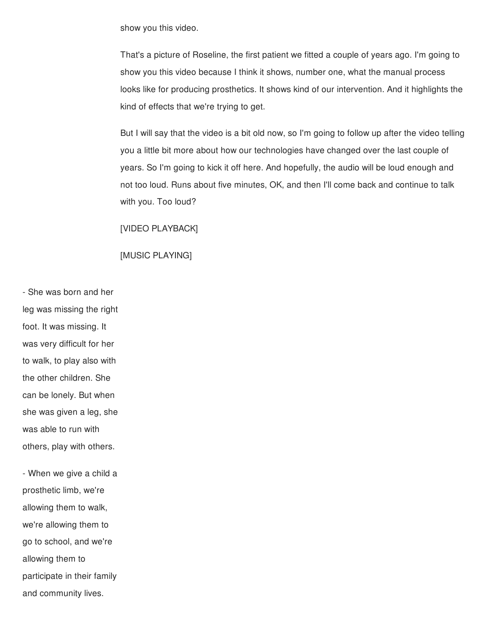show you this video.

That's a picture of Roseline, the first patient we fitted a couple of years ago. I'm going to show you this video because I think it shows, number one, what the manual process looks like for producing prosthetics. It shows kind of our intervention. And it highlights the kind of effects that we're trying to get.

But I will say that the video is a bit old now, so I'm going to follow up after the video telling you a little bit more about how our technologies have changed over the last couple of years. So I'm going to kick it off here. And hopefully, the audio will be loud enough and not too loud. Runs about five minutes, OK, and then I'll come back and continue to talk with you. Too loud?

[VIDEO PLAYBACK]

[MUSIC PLAYING]

- She was born and her leg was missing the right foot. It was missing. It was very difficult for her to walk, to play also with the other children. She can be lonely. But when she was given a leg, she was able to run with others, play with others.

- When we give a child a prosthetic limb, we're allowing them to walk, we're allowing them to go to school, and we're allowing them to participate in their family and community lives.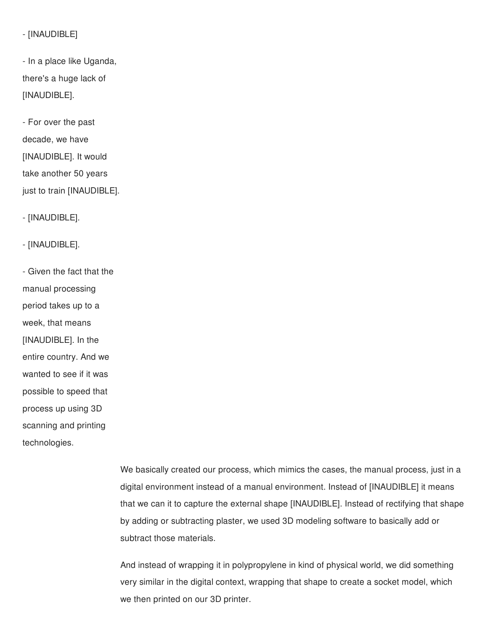### - [INAUDIBLE]

- In a place like Uganda, there's a huge lack of [INAUDIBLE].

- For over the past decade, we have [INAUDIBLE]. It would take another 50 years just to train [INAUDIBLE].

- [INAUDIBLE].

- [INAUDIBLE].

- Given the fact that the manual processing period takes up to a week, that means [INAUDIBLE]. In the entire country. And we wanted to see if it was possible to speed that process up using 3D scanning and printing technologies.

> We basically created our process, which mimics the cases, the manual process, just in a digital environment instead of a manual environment. Instead of [INAUDIBLE] it means that we can it to capture the external shape [INAUDIBLE]. Instead of rectifying that shape by adding or subtracting plaster, we used 3D modeling software to basically add or subtract those materials.

And instead of wrapping it in polypropylene in kind of physical world, we did something very similar in the digital context, wrapping that shape to create a socket model, which we then printed on our 3D printer.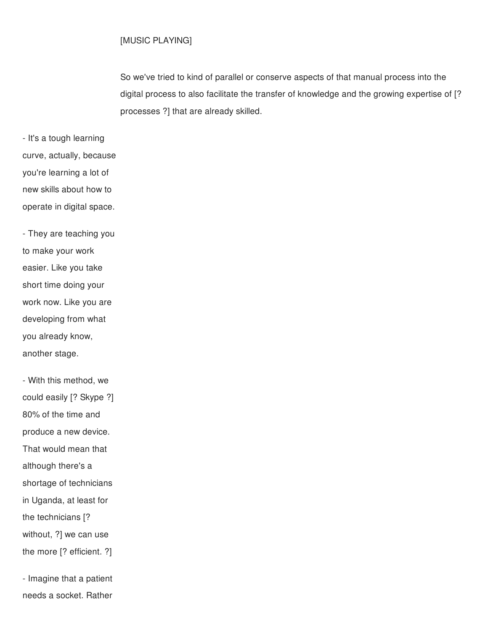## [MUSIC PLAYING]

So we've tried to kind of parallel or conserve aspects of that manual process into the digital process to also facilitate the transfer of knowledge and the growing expertise of [? processes ?] that are already skilled.

- It's a tough learning curve, actually, because you're learning a lot of new skills about how to operate in digital space.
- They are teaching you to make your work easier. Like you take short time doing your work now. Like you are developing from what you already know, another stage.
- With this method, we could easily [? Skype ?] 80% of the time and produce a new device. That would mean that although there's a shortage of technicians in Uganda, at least for the technicians [? without, ?] we can use the more [? efficient. ?] - Imagine that a patient

needs a socket. Rather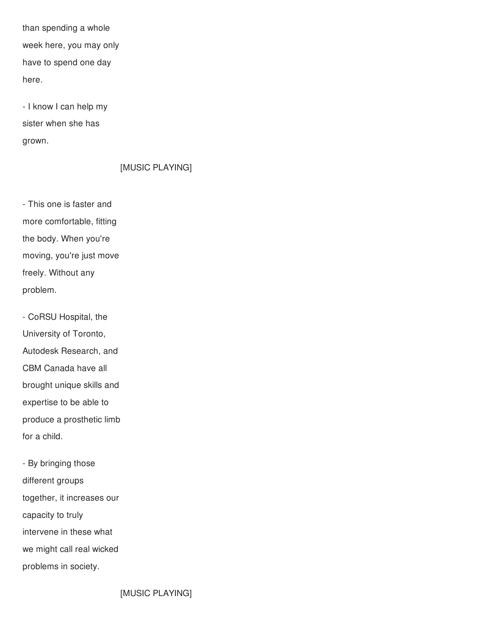than spending a whole week here, you may only have to spend one day here.

- I know I can help my sister when she has grown.

# [MUSIC PLAYING]

- This one is faster and more comfortable, fitting the body. When you're moving, you're just move freely. Without any problem.

- CoRSU Hospital, the University of Toronto, Autodesk Research, and CBM Canada have all brought unique skills and expertise to be able to produce a prosthetic limb for a child.

- By bringing those different groups together, it increases our capacity to truly intervene in these what we might call real wicked problems in society.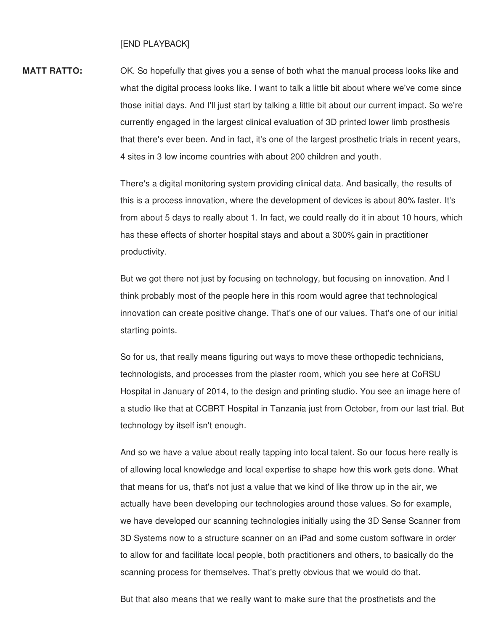[END PLAYBACK]

**MATT RATTO:** OK. So hopefully that gives you a sense of both what the manual process looks like and what the digital process looks like. I want to talk a little bit about where we've come since those initial days. And I'll just start by talking a little bit about our current impact. So we're currently engaged in the largest clinical evaluation of 3D printed lower limb prosthesis that there's ever been. And in fact, it's one of the largest prosthetic trials in recent years, 4 sites in 3 low income countries with about 200 children and youth.

> There's a digital monitoring system providing clinical data. And basically, the results of this is a process innovation, where the development of devices is about 80% faster. It's from about 5 days to really about 1. In fact, we could really do it in about 10 hours, which has these effects of shorter hospital stays and about a 300% gain in practitioner productivity.

But we got there not just by focusing on technology, but focusing on innovation. And I think probably most of the people here in this room would agree that technological innovation can create positive change. That's one of our values. That's one of our initial starting points.

So for us, that really means figuring out ways to move these orthopedic technicians, technologists, and processes from the plaster room, which you see here at CoRSU Hospital in January of 2014, to the design and printing studio. You see an image here of a studio like that at CCBRT Hospital in Tanzania just from October, from our last trial. But technology by itself isn't enough.

And so we have a value about really tapping into local talent. So our focus here really is of allowing local knowledge and local expertise to shape how this work gets done. What that means for us, that's not just a value that we kind of like throw up in the air, we actually have been developing our technologies around those values. So for example, we have developed our scanning technologies initially using the 3D Sense Scanner from 3D Systems now to a structure scanner on an iPad and some custom software in order to allow for and facilitate local people, both practitioners and others, to basically do the scanning process for themselves. That's pretty obvious that we would do that.

But that also means that we really want to make sure that the prosthetists and the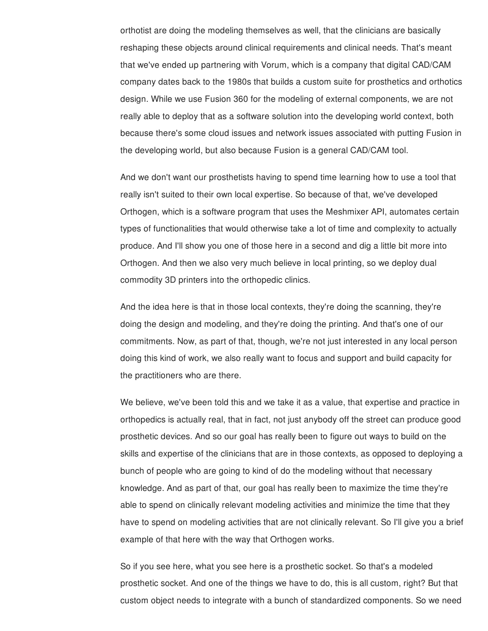orthotist are doing the modeling themselves as well, that the clinicians are basically reshaping these objects around clinical requirements and clinical needs. That's meant that we've ended up partnering with Vorum, which is a company that digital CAD/CAM company dates back to the 1980s that builds a custom suite for prosthetics and orthotics design. While we use Fusion 360 for the modeling of external components, we are not really able to deploy that as a software solution into the developing world context, both because there's some cloud issues and network issues associated with putting Fusion in the developing world, but also because Fusion is a general CAD/CAM tool.

And we don't want our prosthetists having to spend time learning how to use a tool that really isn't suited to their own local expertise. So because of that, we've developed Orthogen, which is a software program that uses the Meshmixer API, automates certain types of functionalities that would otherwise take a lot of time and complexity to actually produce. And I'll show you one of those here in a second and dig a little bit more into Orthogen. And then we also very much believe in local printing, so we deploy dual commodity 3D printers into the orthopedic clinics.

And the idea here is that in those local contexts, they're doing the scanning, they're doing the design and modeling, and they're doing the printing. And that's one of our commitments. Now, as part of that, though, we're not just interested in any local person doing this kind of work, we also really want to focus and support and build capacity for the practitioners who are there.

We believe, we've been told this and we take it as a value, that expertise and practice in orthopedics is actually real, that in fact, not just anybody off the street can produce good prosthetic devices. And so our goal has really been to figure out ways to build on the skills and expertise of the clinicians that are in those contexts, as opposed to deploying a bunch of people who are going to kind of do the modeling without that necessary knowledge. And as part of that, our goal has really been to maximize the time they're able to spend on clinically relevant modeling activities and minimize the time that they have to spend on modeling activities that are not clinically relevant. So I'll give you a brief example of that here with the way that Orthogen works.

So if you see here, what you see here is a prosthetic socket. So that's a modeled prosthetic socket. And one of the things we have to do, this is all custom, right? But that custom object needs to integrate with a bunch of standardized components. So we need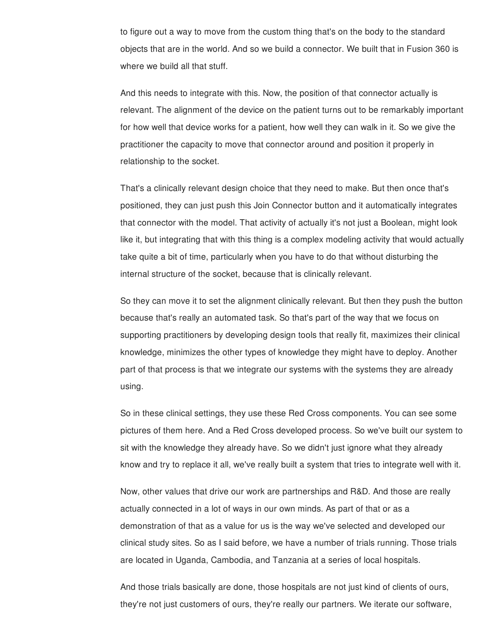to figure out a way to move from the custom thing that's on the body to the standard objects that are in the world. And so we build a connector. We built that in Fusion 360 is where we build all that stuff.

And this needs to integrate with this. Now, the position of that connector actually is relevant. The alignment of the device on the patient turns out to be remarkably important for how well that device works for a patient, how well they can walk in it. So we give the practitioner the capacity to move that connector around and position it properly in relationship to the socket.

That's a clinically relevant design choice that they need to make. But then once that's positioned, they can just push this Join Connector button and it automatically integrates that connector with the model. That activity of actually it's not just a Boolean, might look like it, but integrating that with this thing is a complex modeling activity that would actually take quite a bit of time, particularly when you have to do that without disturbing the internal structure of the socket, because that is clinically relevant.

So they can move it to set the alignment clinically relevant. But then they push the button because that's really an automated task. So that's part of the way that we focus on supporting practitioners by developing design tools that really fit, maximizes their clinical knowledge, minimizes the other types of knowledge they might have to deploy. Another part of that process is that we integrate our systems with the systems they are already using.

So in these clinical settings, they use these Red Cross components. You can see some pictures of them here. And a Red Cross developed process. So we've built our system to sit with the knowledge they already have. So we didn't just ignore what they already know and try to replace it all, we've really built a system that tries to integrate well with it.

Now, other values that drive our work are partnerships and R&D. And those are really actually connected in a lot of ways in our own minds. As part of that or as a demonstration of that as a value for us is the way we've selected and developed our clinical study sites. So as I said before, we have a number of trials running. Those trials are located in Uganda, Cambodia, and Tanzania at a series of local hospitals.

And those trials basically are done, those hospitals are not just kind of clients of ours, they're not just customers of ours, they're really our partners. We iterate our software,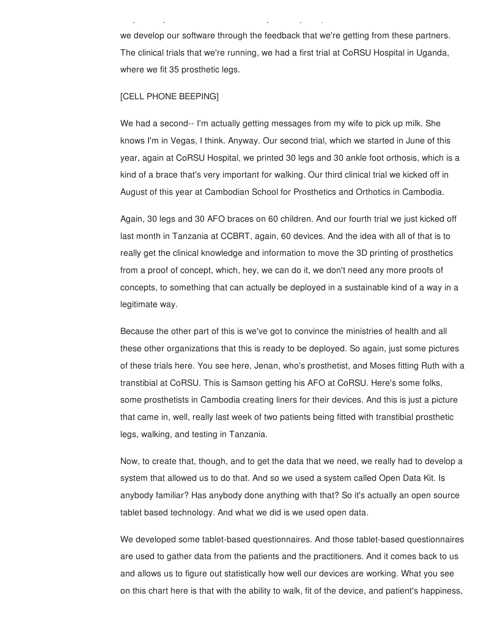we develop our software through the feedback that we're getting from these partners. The clinical trials that we're running, we had a first trial at CoRSU Hospital in Uganda, where we fit 35 prosthetic legs.

they're not just customers of ours, they're really our partners. We iterate our software,

### [CELL PHONE BEEPING]

We had a second-- I'm actually getting messages from my wife to pick up milk. She knows I'm in Vegas, I think. Anyway. Our second trial, which we started in June of this year, again at CoRSU Hospital, we printed 30 legs and 30 ankle foot orthosis, which is a kind of a brace that's very important for walking. Our third clinical trial we kicked off in August of this year at Cambodian School for Prosthetics and Orthotics in Cambodia.

Again, 30 legs and 30 AFO braces on 60 children. And our fourth trial we just kicked off last month in Tanzania at CCBRT, again, 60 devices. And the idea with all of that is to really get the clinical knowledge and information to move the 3D printing of prosthetics from a proof of concept, which, hey, we can do it, we don't need any more proofs of concepts, to something that can actually be deployed in a sustainable kind of a way in a legitimate way.

Because the other part of this is we've got to convince the ministries of health and all these other organizations that this is ready to be deployed. So again, just some pictures of these trials here. You see here, Jenan, who's prosthetist, and Moses fitting Ruth with a transtibial at CoRSU. This is Samson getting his AFO at CoRSU. Here's some folks, some prosthetists in Cambodia creating liners for their devices. And this is just a picture that came in, well, really last week of two patients being fitted with transtibial prosthetic legs, walking, and testing in Tanzania.

Now, to create that, though, and to get the data that we need, we really had to develop a system that allowed us to do that. And so we used a system called Open Data Kit. Is anybody familiar? Has anybody done anything with that? So it's actually an open source tablet based technology. And what we did is we used open data.

We developed some tablet-based questionnaires. And those tablet-based questionnaires are used to gather data from the patients and the practitioners. And it comes back to us and allows us to figure out statistically how well our devices are working. What you see on this chart here is that with the ability to walk, fit of the device, and patient's happiness,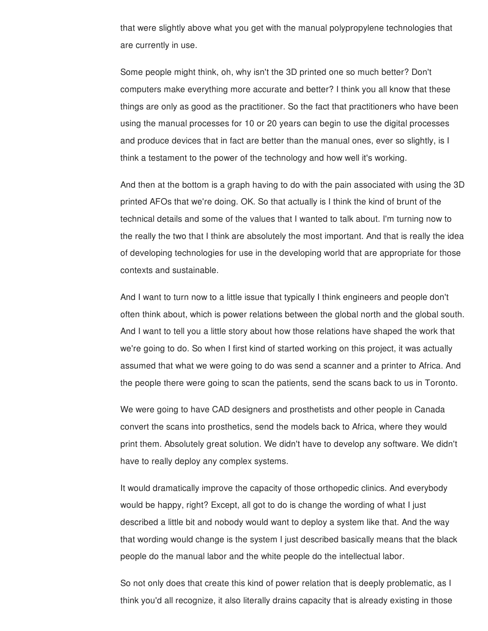that were slightly above what you get with the manual polypropylene technologies that are currently in use.

Some people might think, oh, why isn't the 3D printed one so much better? Don't computers make everything more accurate and better? I think you all know that these things are only as good as the practitioner. So the fact that practitioners who have been using the manual processes for 10 or 20 years can begin to use the digital processes and produce devices that in fact are better than the manual ones, ever so slightly, is I think a testament to the power of the technology and how well it's working.

And then at the bottom is a graph having to do with the pain associated with using the 3D printed AFOs that we're doing. OK. So that actually is I think the kind of brunt of the technical details and some of the values that I wanted to talk about. I'm turning now to the really the two that I think are absolutely the most important. And that is really the idea of developing technologies for use in the developing world that are appropriate for those contexts and sustainable.

And I want to turn now to a little issue that typically I think engineers and people don't often think about, which is power relations between the global north and the global south. And I want to tell you a little story about how those relations have shaped the work that we're going to do. So when I first kind of started working on this project, it was actually assumed that what we were going to do was send a scanner and a printer to Africa. And the people there were going to scan the patients, send the scans back to us in Toronto.

We were going to have CAD designers and prosthetists and other people in Canada convert the scans into prosthetics, send the models back to Africa, where they would print them. Absolutely great solution. We didn't have to develop any software. We didn't have to really deploy any complex systems.

It would dramatically improve the capacity of those orthopedic clinics. And everybody would be happy, right? Except, all got to do is change the wording of what I just described a little bit and nobody would want to deploy a system like that. And the way that wording would change is the system I just described basically means that the black people do the manual labor and the white people do the intellectual labor.

So not only does that create this kind of power relation that is deeply problematic, as I think you'd all recognize, it also literally drains capacity that is already existing in those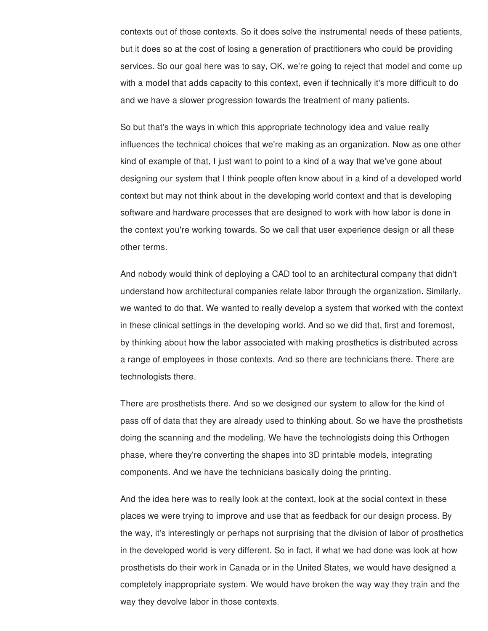contexts out of those contexts. So it does solve the instrumental needs of these patients, but it does so at the cost of losing a generation of practitioners who could be providing services. So our goal here was to say, OK, we're going to reject that model and come up with a model that adds capacity to this context, even if technically it's more difficult to do and we have a slower progression towards the treatment of many patients.

So but that's the ways in which this appropriate technology idea and value really influences the technical choices that we're making as an organization. Now as one other kind of example of that, I just want to point to a kind of a way that we've gone about designing our system that I think people often know about in a kind of a developed world context but may not think about in the developing world context and that is developing software and hardware processes that are designed to work with how labor is done in the context you're working towards. So we call that user experience design or all these other terms.

And nobody would think of deploying a CAD tool to an architectural company that didn't understand how architectural companies relate labor through the organization. Similarly, we wanted to do that. We wanted to really develop a system that worked with the context in these clinical settings in the developing world. And so we did that, first and foremost, by thinking about how the labor associated with making prosthetics is distributed across a range of employees in those contexts. And so there are technicians there. There are technologists there.

There are prosthetists there. And so we designed our system to allow for the kind of pass off of data that they are already used to thinking about. So we have the prosthetists doing the scanning and the modeling. We have the technologists doing this Orthogen phase, where they're converting the shapes into 3D printable models, integrating components. And we have the technicians basically doing the printing.

And the idea here was to really look at the context, look at the social context in these places we were trying to improve and use that as feedback for our design process. By the way, it's interestingly or perhaps not surprising that the division of labor of prosthetics in the developed world is very different. So in fact, if what we had done was look at how prosthetists do their work in Canada or in the United States, we would have designed a completely inappropriate system. We would have broken the way way they train and the way they devolve labor in those contexts.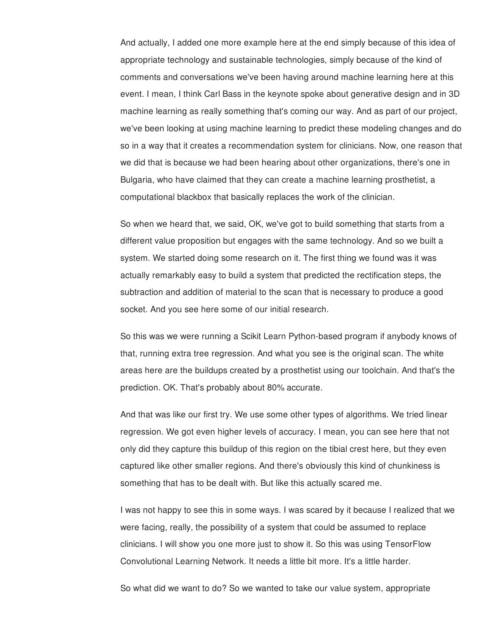And actually, I added one more example here at the end simply because of this idea of appropriate technology and sustainable technologies, simply because of the kind of comments and conversations we've been having around machine learning here at this event. I mean, I think Carl Bass in the keynote spoke about generative design and in 3D machine learning as really something that's coming our way. And as part of our project, we've been looking at using machine learning to predict these modeling changes and do so in a way that it creates a recommendation system for clinicians. Now, one reason that we did that is because we had been hearing about other organizations, there's one in Bulgaria, who have claimed that they can create a machine learning prosthetist, a computational blackbox that basically replaces the work of the clinician.

So when we heard that, we said, OK, we've got to build something that starts from a different value proposition but engages with the same technology. And so we built a system. We started doing some research on it. The first thing we found was it was actually remarkably easy to build a system that predicted the rectification steps, the subtraction and addition of material to the scan that is necessary to produce a good socket. And you see here some of our initial research.

So this was we were running a Scikit Learn Python-based program if anybody knows of that, running extra tree regression. And what you see is the original scan. The white areas here are the buildups created by a prosthetist using our toolchain. And that's the prediction. OK. That's probably about 80% accurate.

And that was like our first try. We use some other types of algorithms. We tried linear regression. We got even higher levels of accuracy. I mean, you can see here that not only did they capture this buildup of this region on the tibial crest here, but they even captured like other smaller regions. And there's obviously this kind of chunkiness is something that has to be dealt with. But like this actually scared me.

I was not happy to see this in some ways. I was scared by it because I realized that we were facing, really, the possibility of a system that could be assumed to replace clinicians. I will show you one more just to show it. So this was using TensorFlow Convolutional Learning Network. It needs a little bit more. It's a little harder.

So what did we want to do? So we wanted to take our value system, appropriate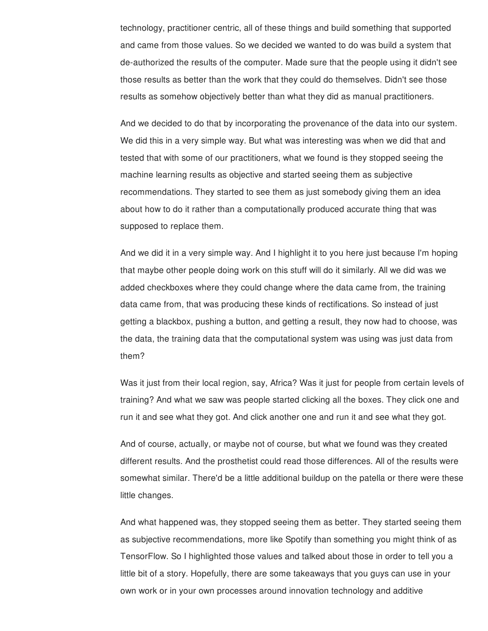technology, practitioner centric, all of these things and build something that supported and came from those values. So we decided we wanted to do was build a system that de-authorized the results of the computer. Made sure that the people using it didn't see those results as better than the work that they could do themselves. Didn't see those results as somehow objectively better than what they did as manual practitioners.

And we decided to do that by incorporating the provenance of the data into our system. We did this in a very simple way. But what was interesting was when we did that and tested that with some of our practitioners, what we found is they stopped seeing the machine learning results as objective and started seeing them as subjective recommendations. They started to see them as just somebody giving them an idea about how to do it rather than a computationally produced accurate thing that was supposed to replace them.

And we did it in a very simple way. And I highlight it to you here just because I'm hoping that maybe other people doing work on this stuff will do it similarly. All we did was we added checkboxes where they could change where the data came from, the training data came from, that was producing these kinds of rectifications. So instead of just getting a blackbox, pushing a button, and getting a result, they now had to choose, was the data, the training data that the computational system was using was just data from them?

Was it just from their local region, say, Africa? Was it just for people from certain levels of training? And what we saw was people started clicking all the boxes. They click one and run it and see what they got. And click another one and run it and see what they got.

And of course, actually, or maybe not of course, but what we found was they created different results. And the prosthetist could read those differences. All of the results were somewhat similar. There'd be a little additional buildup on the patella or there were these little changes.

And what happened was, they stopped seeing them as better. They started seeing them as subjective recommendations, more like Spotify than something you might think of as TensorFlow. So I highlighted those values and talked about those in order to tell you a little bit of a story. Hopefully, there are some takeaways that you guys can use in your own work or in your own processes around innovation technology and additive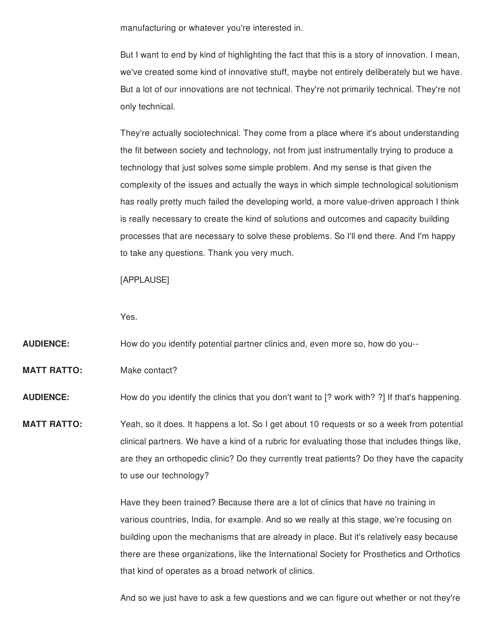manufacturing or whatever you're interested in.

But I want to end by kind of highlighting the fact that this is a story of innovation. I mean, we've created some kind of innovative stuff, maybe not entirely deliberately but we have. But a lot of our innovations are not technical. They're not primarily technical. They're not only technical.

They're actually sociotechnical. They come from a place where it's about understanding the fit between society and technology, not from just instrumentally trying to produce a technology that just solves some simple problem. And my sense is that given the complexity of the issues and actually the ways in which simple technological solutionism has really pretty much failed the developing world, a more value-driven approach I think is really necessary to create the kind of solutions and outcomes and capacity building processes that are necessary to solve these problems. So I'll end there. And I'm happy to take any questions. Thank you very much.

[APPLAUSE]

Yes.

**AUDIENCE:** How do you identify potential partner clinics and, even more so, how do you--

**MATT RATTO:** Make contact?

**AUDIENCE:** How do you identify the clinics that you don't want to [? work with? ?] If that's happening.

**MATT RATTO:** Yeah, so it does. It happens a lot. So I get about 10 requests or so a week from potential clinical partners. We have a kind of a rubric for evaluating those that includes things like, are they an orthopedic clinic? Do they currently treat patients? Do they have the capacity to use our technology?

> Have they been trained? Because there are a lot of clinics that have no training in various countries, India, for example. And so we really at this stage, we're focusing on building upon the mechanisms that are already in place. But it's relatively easy because there are these organizations, like the International Society for Prosthetics and Orthotics that kind of operates as a broad network of clinics.

> And so we just have to ask a few questions and we can figure out whether or not they're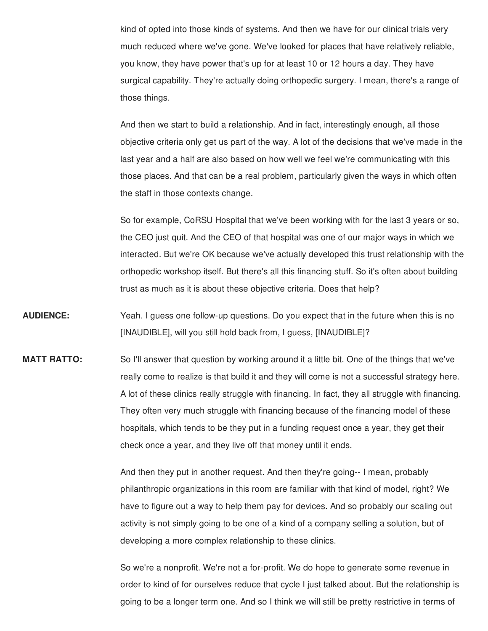kind of opted into those kinds of systems. And then we have for our clinical trials very much reduced where we've gone. We've looked for places that have relatively reliable, you know, they have power that's up for at least 10 or 12 hours a day. They have surgical capability. They're actually doing orthopedic surgery. I mean, there's a range of those things.

And then we start to build a relationship. And in fact, interestingly enough, all those objective criteria only get us part of the way. A lot of the decisions that we've made in the last year and a half are also based on how well we feel we're communicating with this those places. And that can be a real problem, particularly given the ways in which often the staff in those contexts change.

So for example, CoRSU Hospital that we've been working with for the last 3 years or so, the CEO just quit. And the CEO of that hospital was one of our major ways in which we interacted. But we're OK because we've actually developed this trust relationship with the orthopedic workshop itself. But there's all this financing stuff. So it's often about building trust as much as it is about these objective criteria. Does that help?

- **AUDIENCE:** Yeah. I guess one follow-up questions. Do you expect that in the future when this is no [INAUDIBLE], will you still hold back from, I guess, [INAUDIBLE]?
- **MATT RATTO:** So I'll answer that question by working around it a little bit. One of the things that we've really come to realize is that build it and they will come is not a successful strategy here. A lot of these clinics really struggle with financing. In fact, they all struggle with financing. They often very much struggle with financing because of the financing model of these hospitals, which tends to be they put in a funding request once a year, they get their check once a year, and they live off that money until it ends.

And then they put in another request. And then they're going-- I mean, probably philanthropic organizations in this room are familiar with that kind of model, right? We have to figure out a way to help them pay for devices. And so probably our scaling out activity is not simply going to be one of a kind of a company selling a solution, but of developing a more complex relationship to these clinics.

So we're a nonprofit. We're not a for-profit. We do hope to generate some revenue in order to kind of for ourselves reduce that cycle I just talked about. But the relationship is going to be a longer term one. And so I think we will still be pretty restrictive in terms of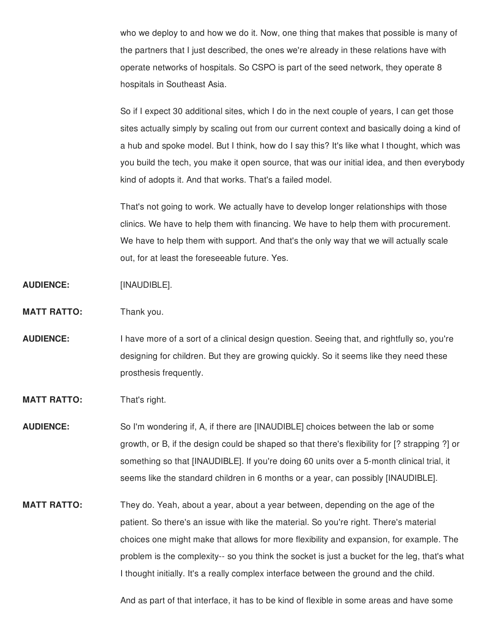who we deploy to and how we do it. Now, one thing that makes that possible is many of the partners that I just described, the ones we're already in these relations have with operate networks of hospitals. So CSPO is part of the seed network, they operate 8 hospitals in Southeast Asia.

So if I expect 30 additional sites, which I do in the next couple of years, I can get those sites actually simply by scaling out from our current context and basically doing a kind of a hub and spoke model. But I think, how do I say this? It's like what I thought, which was you build the tech, you make it open source, that was our initial idea, and then everybody kind of adopts it. And that works. That's a failed model.

That's not going to work. We actually have to develop longer relationships with those clinics. We have to help them with financing. We have to help them with procurement. We have to help them with support. And that's the only way that we will actually scale out, for at least the foreseeable future. Yes.

**AUDIENCE:** [INAUDIBLE].

**MATT RATTO:** Thank you.

- **AUDIENCE:** I have more of a sort of a clinical design question. Seeing that, and rightfully so, you're designing for children. But they are growing quickly. So it seems like they need these prosthesis frequently.
- **MATT RATTO:** That's right.

**AUDIENCE:** So I'm wondering if, A, if there are [INAUDIBLE] choices between the lab or some growth, or B, if the design could be shaped so that there's flexibility for [? strapping ?] or something so that [INAUDIBLE]. If you're doing 60 units over a 5-month clinical trial, it seems like the standard children in 6 months or a year, can possibly [INAUDIBLE].

**MATT RATTO:** They do. Yeah, about a year, about a year between, depending on the age of the patient. So there's an issue with like the material. So you're right. There's material choices one might make that allows for more flexibility and expansion, for example. The problem is the complexity-- so you think the socket is just a bucket for the leg, that's what I thought initially. It's a really complex interface between the ground and the child.

And as part of that interface, it has to be kind of flexible in some areas and have some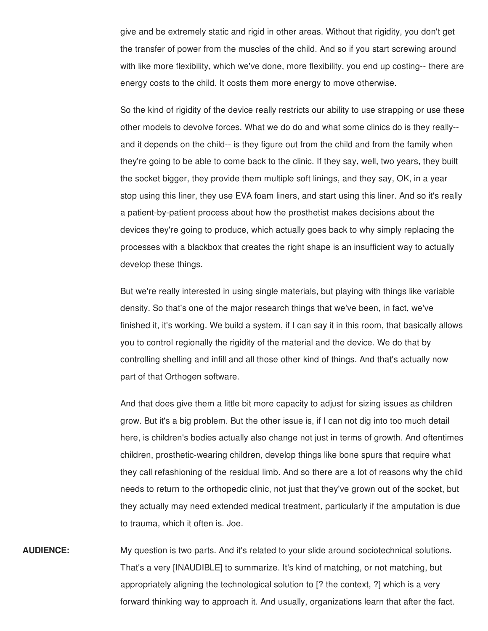give and be extremely static and rigid in other areas. Without that rigidity, you don't get the transfer of power from the muscles of the child. And so if you start screwing around with like more flexibility, which we've done, more flexibility, you end up costing-- there are energy costs to the child. It costs them more energy to move otherwise.

So the kind of rigidity of the device really restricts our ability to use strapping or use these other models to devolve forces. What we do do and what some clinics do is they really- and it depends on the child-- is they figure out from the child and from the family when they're going to be able to come back to the clinic. If they say, well, two years, they built the socket bigger, they provide them multiple soft linings, and they say, OK, in a year stop using this liner, they use EVA foam liners, and start using this liner. And so it's really a patient-by-patient process about how the prosthetist makes decisions about the devices they're going to produce, which actually goes back to why simply replacing the processes with a blackbox that creates the right shape is an insufficient way to actually develop these things.

But we're really interested in using single materials, but playing with things like variable density. So that's one of the major research things that we've been, in fact, we've finished it, it's working. We build a system, if I can say it in this room, that basically allows you to control regionally the rigidity of the material and the device. We do that by controlling shelling and infill and all those other kind of things. And that's actually now part of that Orthogen software.

And that does give them a little bit more capacity to adjust for sizing issues as children grow. But it's a big problem. But the other issue is, if I can not dig into too much detail here, is children's bodies actually also change not just in terms of growth. And oftentimes children, prosthetic-wearing children, develop things like bone spurs that require what they call refashioning of the residual limb. And so there are a lot of reasons why the child needs to return to the orthopedic clinic, not just that they've grown out of the socket, but they actually may need extended medical treatment, particularly if the amputation is due to trauma, which it often is. Joe.

**AUDIENCE:** My question is two parts. And it's related to your slide around sociotechnical solutions. That's a very [INAUDIBLE] to summarize. It's kind of matching, or not matching, but appropriately aligning the technological solution to [? the context, ?] which is a very forward thinking way to approach it. And usually, organizations learn that after the fact.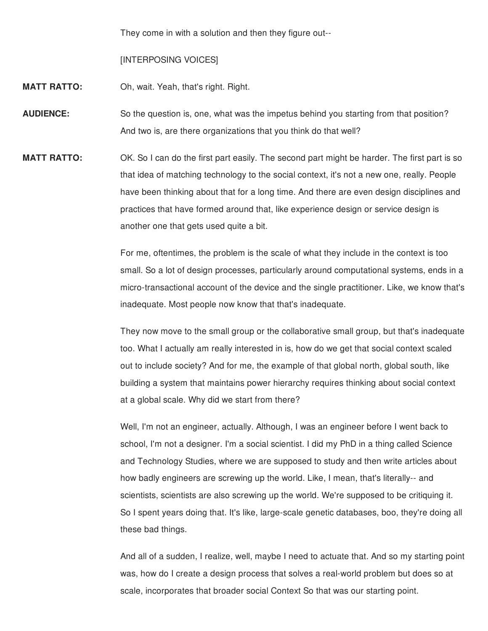They come in with a solution and then they figure out--

[INTERPOSING VOICES]

**MATT RATTO:** Oh, wait. Yeah, that's right. Right.

**AUDIENCE:** So the question is, one, what was the impetus behind you starting from that position? And two is, are there organizations that you think do that well?

**MATT RATTO:** OK. So I can do the first part easily. The second part might be harder. The first part is so that idea of matching technology to the social context, it's not a new one, really. People have been thinking about that for a long time. And there are even design disciplines and practices that have formed around that, like experience design or service design is another one that gets used quite a bit.

> For me, oftentimes, the problem is the scale of what they include in the context is too small. So a lot of design processes, particularly around computational systems, ends in a micro-transactional account of the device and the single practitioner. Like, we know that's inadequate. Most people now know that that's inadequate.

> They now move to the small group or the collaborative small group, but that's inadequate too. What I actually am really interested in is, how do we get that social context scaled out to include society? And for me, the example of that global north, global south, like building a system that maintains power hierarchy requires thinking about social context at a global scale. Why did we start from there?

> Well, I'm not an engineer, actually. Although, I was an engineer before I went back to school, I'm not a designer. I'm a social scientist. I did my PhD in a thing called Science and Technology Studies, where we are supposed to study and then write articles about how badly engineers are screwing up the world. Like, I mean, that's literally-- and scientists, scientists are also screwing up the world. We're supposed to be critiquing it. So I spent years doing that. It's like, large-scale genetic databases, boo, they're doing all these bad things.

> And all of a sudden, I realize, well, maybe I need to actuate that. And so my starting point was, how do I create a design process that solves a real-world problem but does so at scale, incorporates that broader social Context So that was our starting point.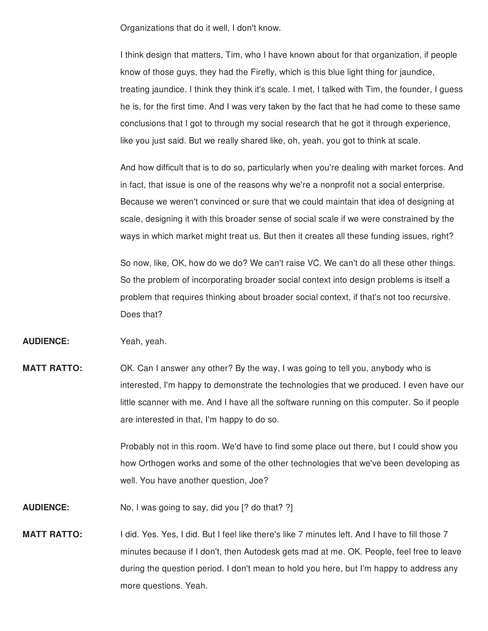Organizations that do it well, I don't know.

I think design that matters, Tim, who I have known about for that organization, if people know of those guys, they had the Firefly, which is this blue light thing for jaundice, treating jaundice. I think they think it's scale. I met, I talked with Tim, the founder, I guess he is, for the first time. And I was very taken by the fact that he had come to these same conclusions that I got to through my social research that he got it through experience, like you just said. But we really shared like, oh, yeah, you got to think at scale.

And how difficult that is to do so, particularly when you're dealing with market forces. And in fact, that issue is one of the reasons why we're a nonprofit not a social enterprise. Because we weren't convinced or sure that we could maintain that idea of designing at scale, designing it with this broader sense of social scale if we were constrained by the ways in which market might treat us. But then it creates all these funding issues, right?

So now, like, OK, how do we do? We can't raise VC. We can't do all these other things. So the problem of incorporating broader social context into design problems is itself a problem that requires thinking about broader social context, if that's not too recursive. Does that?

#### **AUDIENCE:** Yeah, yeah.

**MATT RATTO:** OK. Can I answer any other? By the way, I was going to tell you, anybody who is interested, I'm happy to demonstrate the technologies that we produced. I even have our little scanner with me. And I have all the software running on this computer. So if people are interested in that, I'm happy to do so.

> Probably not in this room. We'd have to find some place out there, but I could show you how Orthogen works and some of the other technologies that we've been developing as well. You have another question, Joe?

**AUDIENCE:** No, I was going to say, did you [? do that? ?]

**MATT RATTO:** I did. Yes. Yes, I did. But I feel like there's like 7 minutes left. And I have to fill those 7 minutes because if I don't, then Autodesk gets mad at me. OK. People, feel free to leave during the question period. I don't mean to hold you here, but I'm happy to address any more questions. Yeah.